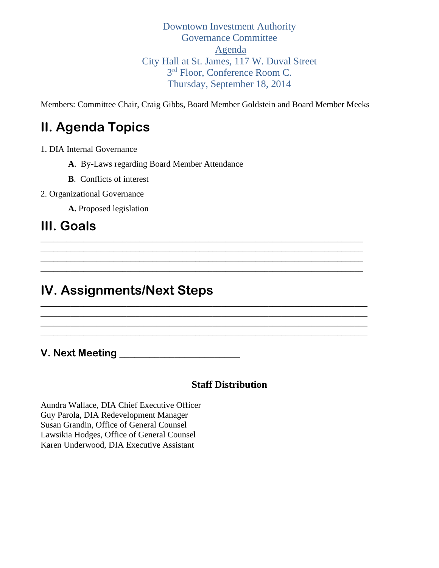Downtown Investment Authority Governance Committee Agenda City Hall at St. James, 117 W. Duval Street 3<sup>rd</sup> Floor, Conference Room C. Thursday, September 18, 2014

Members: Committee Chair, Craig Gibbs, Board Member Goldstein and Board Member Meeks

\_\_\_\_\_\_\_\_\_\_\_\_\_\_\_\_\_\_\_\_\_\_\_\_\_\_\_\_\_\_\_\_\_\_\_\_\_\_\_\_\_\_\_\_\_\_\_\_\_\_\_\_\_\_\_\_\_\_\_\_\_\_\_\_\_\_\_\_\_\_\_\_\_\_\_ \_\_\_\_\_\_\_\_\_\_\_\_\_\_\_\_\_\_\_\_\_\_\_\_\_\_\_\_\_\_\_\_\_\_\_\_\_\_\_\_\_\_\_\_\_\_\_\_\_\_\_\_\_\_\_\_\_\_\_\_\_\_\_\_\_\_\_\_\_\_\_\_\_\_\_ \_\_\_\_\_\_\_\_\_\_\_\_\_\_\_\_\_\_\_\_\_\_\_\_\_\_\_\_\_\_\_\_\_\_\_\_\_\_\_\_\_\_\_\_\_\_\_\_\_\_\_\_\_\_\_\_\_\_\_\_\_\_\_\_\_\_\_\_\_\_\_\_\_\_\_ \_\_\_\_\_\_\_\_\_\_\_\_\_\_\_\_\_\_\_\_\_\_\_\_\_\_\_\_\_\_\_\_\_\_\_\_\_\_\_\_\_\_\_\_\_\_\_\_\_\_\_\_\_\_\_\_\_\_\_\_\_\_\_\_\_\_\_\_\_\_\_\_\_\_\_

\_\_\_\_\_\_\_\_\_\_\_\_\_\_\_\_\_\_\_\_\_\_\_\_\_\_\_\_\_\_\_\_\_\_\_\_\_\_\_\_\_\_\_\_\_\_\_\_\_\_\_\_\_\_\_\_\_\_\_\_\_\_\_\_\_\_\_\_\_\_\_\_\_\_\_\_ \_\_\_\_\_\_\_\_\_\_\_\_\_\_\_\_\_\_\_\_\_\_\_\_\_\_\_\_\_\_\_\_\_\_\_\_\_\_\_\_\_\_\_\_\_\_\_\_\_\_\_\_\_\_\_\_\_\_\_\_\_\_\_\_\_\_\_\_\_\_\_\_\_\_\_\_ \_\_\_\_\_\_\_\_\_\_\_\_\_\_\_\_\_\_\_\_\_\_\_\_\_\_\_\_\_\_\_\_\_\_\_\_\_\_\_\_\_\_\_\_\_\_\_\_\_\_\_\_\_\_\_\_\_\_\_\_\_\_\_\_\_\_\_\_\_\_\_\_\_\_\_\_ \_\_\_\_\_\_\_\_\_\_\_\_\_\_\_\_\_\_\_\_\_\_\_\_\_\_\_\_\_\_\_\_\_\_\_\_\_\_\_\_\_\_\_\_\_\_\_\_\_\_\_\_\_\_\_\_\_\_\_\_\_\_\_\_\_\_\_\_\_\_\_\_\_\_\_\_

# **II. Agenda Topics**

1. DIA Internal Governance

**A**. By-Laws regarding Board Member Attendance

**B**. Conflicts of interest

2. Organizational Governance

**A.** Proposed legislation

## **III. Goals**

## **IV. Assignments/Next Steps**

**V. Next Meeting \_\_\_\_\_\_\_\_\_\_\_\_\_\_\_\_\_\_\_\_\_\_\_\_**

## **Staff Distribution**

Aundra Wallace, DIA Chief Executive Officer Guy Parola, DIA Redevelopment Manager Susan Grandin, Office of General Counsel Lawsikia Hodges, Office of General Counsel Karen Underwood, DIA Executive Assistant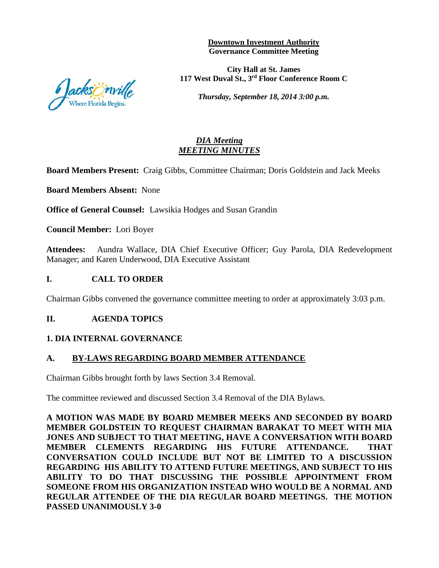**Downtown Investment Authority Governance Committee Meeting**

**City Hall at St. James 117 West Duval St., 3rd Floor Conference Room C**

*Thursday, September 18, 2014 3:00 p.m.*

### *DIA Meeting MEETING MINUTES*

**Board Members Present:** Craig Gibbs, Committee Chairman; Doris Goldstein and Jack Meeks

**Board Members Absent:** None

**Office of General Counsel:** Lawsikia Hodges and Susan Grandin

**Council Member:** Lori Boyer

**Attendees:** Aundra Wallace, DIA Chief Executive Officer; Guy Parola, DIA Redevelopment Manager; and Karen Underwood, DIA Executive Assistant

#### **I. CALL TO ORDER**

Chairman Gibbs convened the governance committee meeting to order at approximately 3:03 p.m.

#### **II. AGENDA TOPICS**

#### **1. DIA INTERNAL GOVERNANCE**

#### **A. BY-LAWS REGARDING BOARD MEMBER ATTENDANCE**

Chairman Gibbs brought forth by laws Section 3.4 Removal.

The committee reviewed and discussed Section 3.4 Removal of the DIA Bylaws.

**A MOTION WAS MADE BY BOARD MEMBER MEEKS AND SECONDED BY BOARD MEMBER GOLDSTEIN TO REQUEST CHAIRMAN BARAKAT TO MEET WITH MIA JONES AND SUBJECT TO THAT MEETING, HAVE A CONVERSATION WITH BOARD MEMBER CLEMENTS REGARDING HIS FUTURE ATTENDANCE. THAT CONVERSATION COULD INCLUDE BUT NOT BE LIMITED TO A DISCUSSION REGARDING HIS ABILITY TO ATTEND FUTURE MEETINGS, AND SUBJECT TO HIS ABILITY TO DO THAT DISCUSSING THE POSSIBLE APPOINTMENT FROM SOMEONE FROM HIS ORGANIZATION INSTEAD WHO WOULD BE A NORMAL AND REGULAR ATTENDEE OF THE DIA REGULAR BOARD MEETINGS. THE MOTION PASSED UNANIMOUSLY 3-0**

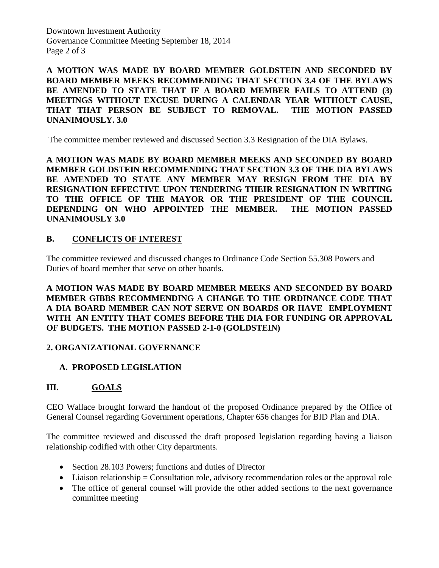Downtown Investment Authority Governance Committee Meeting September 18, 2014 Page 2 of 3

**A MOTION WAS MADE BY BOARD MEMBER GOLDSTEIN AND SECONDED BY BOARD MEMBER MEEKS RECOMMENDING THAT SECTION 3.4 OF THE BYLAWS BE AMENDED TO STATE THAT IF A BOARD MEMBER FAILS TO ATTEND (3) MEETINGS WITHOUT EXCUSE DURING A CALENDAR YEAR WITHOUT CAUSE, THAT THAT PERSON BE SUBJECT TO REMOVAL. THE MOTION PASSED UNANIMOUSLY. 3.0**

The committee member reviewed and discussed Section 3.3 Resignation of the DIA Bylaws.

**A MOTION WAS MADE BY BOARD MEMBER MEEKS AND SECONDED BY BOARD MEMBER GOLDSTEIN RECOMMENDING THAT SECTION 3.3 OF THE DIA BYLAWS BE AMENDED TO STATE ANY MEMBER MAY RESIGN FROM THE DIA BY RESIGNATION EFFECTIVE UPON TENDERING THEIR RESIGNATION IN WRITING TO THE OFFICE OF THE MAYOR OR THE PRESIDENT OF THE COUNCIL DEPENDING ON WHO APPOINTED THE MEMBER. THE MOTION PASSED UNANIMOUSLY 3.0** 

## **B. CONFLICTS OF INTEREST**

The committee reviewed and discussed changes to Ordinance Code Section 55.308 Powers and Duties of board member that serve on other boards.

## **A MOTION WAS MADE BY BOARD MEMBER MEEKS AND SECONDED BY BOARD MEMBER GIBBS RECOMMENDING A CHANGE TO THE ORDINANCE CODE THAT A DIA BOARD MEMBER CAN NOT SERVE ON BOARDS OR HAVE EMPLOYMENT WITH AN ENTITY THAT COMES BEFORE THE DIA FOR FUNDING OR APPROVAL OF BUDGETS. THE MOTION PASSED 2-1-0 (GOLDSTEIN)**

## **2. ORGANIZATIONAL GOVERNANCE**

## **A. PROPOSED LEGISLATION**

## **III. GOALS**

CEO Wallace brought forward the handout of the proposed Ordinance prepared by the Office of General Counsel regarding Government operations, Chapter 656 changes for BID Plan and DIA.

The committee reviewed and discussed the draft proposed legislation regarding having a liaison relationship codified with other City departments.

- Section 28.103 Powers; functions and duties of Director
- $\bullet$  Liaison relationship = Consultation role, advisory recommendation roles or the approval role
- The office of general counsel will provide the other added sections to the next governance committee meeting